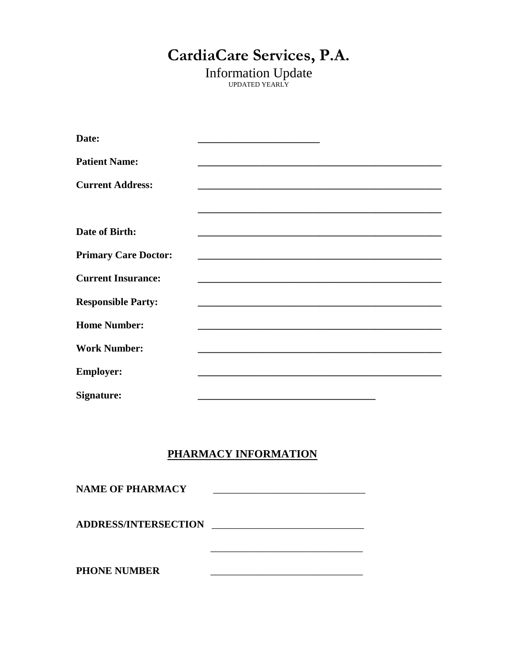# CardiaCare Services, P.A.

**Information Update** 

| Date:                       |                                                                                           |
|-----------------------------|-------------------------------------------------------------------------------------------|
| <b>Patient Name:</b>        |                                                                                           |
| <b>Current Address:</b>     |                                                                                           |
|                             |                                                                                           |
| Date of Birth:              | the control of the control of the control of the control of the control of the control of |
| <b>Primary Care Doctor:</b> |                                                                                           |
| <b>Current Insurance:</b>   |                                                                                           |
| <b>Responsible Party:</b>   |                                                                                           |
| <b>Home Number:</b>         |                                                                                           |
| <b>Work Number:</b>         |                                                                                           |
| <b>Employer:</b>            |                                                                                           |
| Signature:                  |                                                                                           |

## PHARMACY INFORMATION

| <b>NAME OF PHARMACY</b>     |  |
|-----------------------------|--|
| <b>ADDRESS/INTERSECTION</b> |  |
| <b>PHONE NUMBER</b>         |  |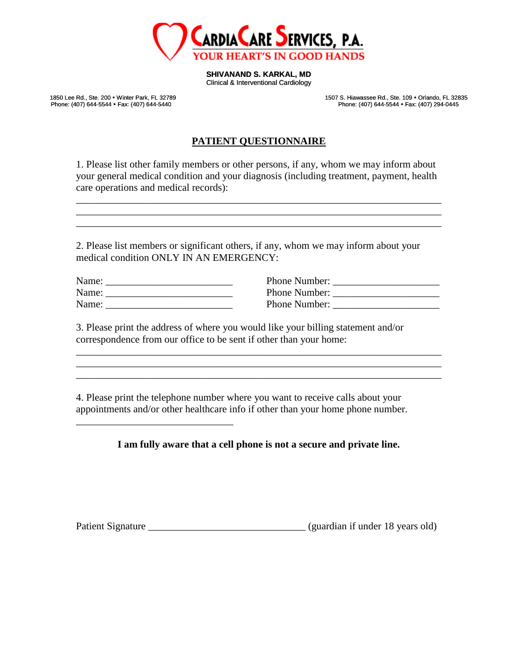

**SHIVANAND S. KARKAL, MD**

Clinical & Interventional Cardiology

Phone: (407) 644-5544 · Fax: (407) 644-5440

1850 Lee Rd., Ste. 200 • Winter Park, FL 32789 1507 S. Hiawassee Rd., Ste. 109 • Orlando, FL 32835<br>Phone: (407) 644-5544 • Fax: (407) 644-5440 1507 Phone: (407) 644-5544 • Fax: (407) 294-0445

#### **PATIENT QUESTIONNAIRE**

1. Please list other family members or other persons, if any, whom we may inform about your general medical condition and your diagnosis (including treatment, payment, health care operations and medical records):

\_\_\_\_\_\_\_\_\_\_\_\_\_\_\_\_\_\_\_\_\_\_\_\_\_\_\_\_\_\_\_\_\_\_\_\_\_\_\_\_\_\_\_\_\_\_\_\_\_\_\_\_\_\_\_\_\_\_\_\_\_\_\_\_\_\_\_\_\_\_\_\_ \_\_\_\_\_\_\_\_\_\_\_\_\_\_\_\_\_\_\_\_\_\_\_\_\_\_\_\_\_\_\_\_\_\_\_\_\_\_\_\_\_\_\_\_\_\_\_\_\_\_\_\_\_\_\_\_\_\_\_\_\_\_\_\_\_\_\_\_\_\_\_\_ \_\_\_\_\_\_\_\_\_\_\_\_\_\_\_\_\_\_\_\_\_\_\_\_\_\_\_\_\_\_\_\_\_\_\_\_\_\_\_\_\_\_\_\_\_\_\_\_\_\_\_\_\_\_\_\_\_\_\_\_\_\_\_\_\_\_\_\_\_\_\_\_

2. Please list members or significant others, if any, whom we may inform about your medical condition ONLY IN AN EMERGENCY:

| Name: | <b>Phone Number:</b> |
|-------|----------------------|
| Name: | Phone Number:        |
| Name: | Phone Number:        |

\_\_\_\_\_\_\_\_\_\_\_\_\_\_\_\_\_\_\_\_\_\_\_\_\_\_\_\_\_\_\_

| Name: | Phone Number: |
|-------|---------------|
| Name: | Phone Number: |
| Name: | Phone Number: |

3. Please print the address of where you would like your billing statement and/or correspondence from our office to be sent if other than your home:

4. Please print the telephone number where you want to receive calls about your appointments and/or other healthcare info if other than your home phone number.

#### **I am fully aware that a cell phone is not a secure and private line.**

\_\_\_\_\_\_\_\_\_\_\_\_\_\_\_\_\_\_\_\_\_\_\_\_\_\_\_\_\_\_\_\_\_\_\_\_\_\_\_\_\_\_\_\_\_\_\_\_\_\_\_\_\_\_\_\_\_\_\_\_\_\_\_\_\_\_\_\_\_\_\_\_ \_\_\_\_\_\_\_\_\_\_\_\_\_\_\_\_\_\_\_\_\_\_\_\_\_\_\_\_\_\_\_\_\_\_\_\_\_\_\_\_\_\_\_\_\_\_\_\_\_\_\_\_\_\_\_\_\_\_\_\_\_\_\_\_\_\_\_\_\_\_\_\_ \_\_\_\_\_\_\_\_\_\_\_\_\_\_\_\_\_\_\_\_\_\_\_\_\_\_\_\_\_\_\_\_\_\_\_\_\_\_\_\_\_\_\_\_\_\_\_\_\_\_\_\_\_\_\_\_\_\_\_\_\_\_\_\_\_\_\_\_\_\_\_\_

Patient Signature **Example 2018** (guardian if under 18 years old)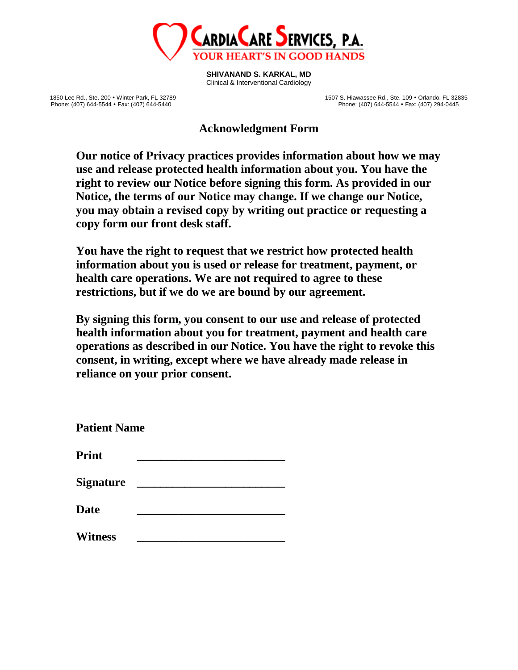

**SHIVANAND S. KARKAL, MD** Clinical & Interventional Cardiology

1850 Lee Rd., Ste. 200 • Winter Park, FL 32789 1507 S. Hiawassee Rd., Ste. 109 • Orlando, FL 32835<br>Phone: (407) 644-5544 • Fax: (407) 294-0445 1507 Phone: (407) 644-5544 • Fax: (407) 294-0445 Phone: (407) 644-5544 · Fax: (407) 294-0445

**Acknowledgment Form**

**Our notice of Privacy practices provides information about how we may use and release protected health information about you. You have the right to review our Notice before signing this form. As provided in our Notice, the terms of our Notice may change. If we change our Notice, you may obtain a revised copy by writing out practice or requesting a copy form our front desk staff.**

**You have the right to request that we restrict how protected health information about you is used or release for treatment, payment, or health care operations. We are not required to agree to these restrictions, but if we do we are bound by our agreement.**

**By signing this form, you consent to our use and release of protected health information about you for treatment, payment and health care operations as described in our Notice. You have the right to revoke this consent, in writing, except where we have already made release in reliance on your prior consent.**

| <b>Patient Name</b> |  |  |  |  |
|---------------------|--|--|--|--|
| <b>Print</b>        |  |  |  |  |
| <b>Signature</b>    |  |  |  |  |
| <b>Date</b>         |  |  |  |  |
| <b>Witness</b>      |  |  |  |  |